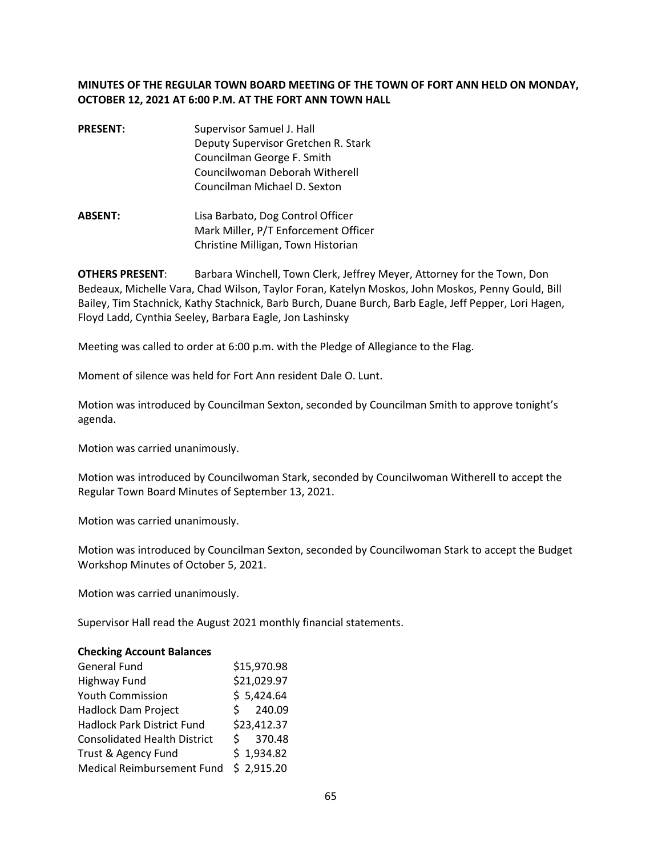# **MINUTES OF THE REGULAR TOWN BOARD MEETING OF THE TOWN OF FORT ANN HELD ON MONDAY, OCTOBER 12, 2021 AT 6:00 P.M. AT THE FORT ANN TOWN HALL**

- **PRESENT:** Supervisor Samuel J. Hall Deputy Supervisor Gretchen R. Stark Councilman George F. Smith Councilwoman Deborah Witherell Councilman Michael D. Sexton
- **ABSENT:** Lisa Barbato, Dog Control Officer Mark Miller, P/T Enforcement Officer Christine Milligan, Town Historian

**OTHERS PRESENT**: Barbara Winchell, Town Clerk, Jeffrey Meyer, Attorney for the Town, Don Bedeaux, Michelle Vara, Chad Wilson, Taylor Foran, Katelyn Moskos, John Moskos, Penny Gould, Bill Bailey, Tim Stachnick, Kathy Stachnick, Barb Burch, Duane Burch, Barb Eagle, Jeff Pepper, Lori Hagen, Floyd Ladd, Cynthia Seeley, Barbara Eagle, Jon Lashinsky

Meeting was called to order at 6:00 p.m. with the Pledge of Allegiance to the Flag.

Moment of silence was held for Fort Ann resident Dale O. Lunt.

Motion was introduced by Councilman Sexton, seconded by Councilman Smith to approve tonight's agenda.

Motion was carried unanimously.

Motion was introduced by Councilwoman Stark, seconded by Councilwoman Witherell to accept the Regular Town Board Minutes of September 13, 2021.

Motion was carried unanimously.

Motion was introduced by Councilman Sexton, seconded by Councilwoman Stark to accept the Budget Workshop Minutes of October 5, 2021.

Motion was carried unanimously.

Supervisor Hall read the August 2021 monthly financial statements.

#### **Checking Account Balances**

| <b>General Fund</b>                 | \$15,970.98 |  |
|-------------------------------------|-------------|--|
| <b>Highway Fund</b>                 | \$21,029.97 |  |
| <b>Youth Commission</b>             | \$5,424.64  |  |
| Hadlock Dam Project                 | \$240.09    |  |
| <b>Hadlock Park District Fund</b>   | \$23,412.37 |  |
| <b>Consolidated Health District</b> | \$370.48    |  |
| Trust & Agency Fund                 | \$1,934.82  |  |
| Medical Reimbursement Fund          | \$2,915.20  |  |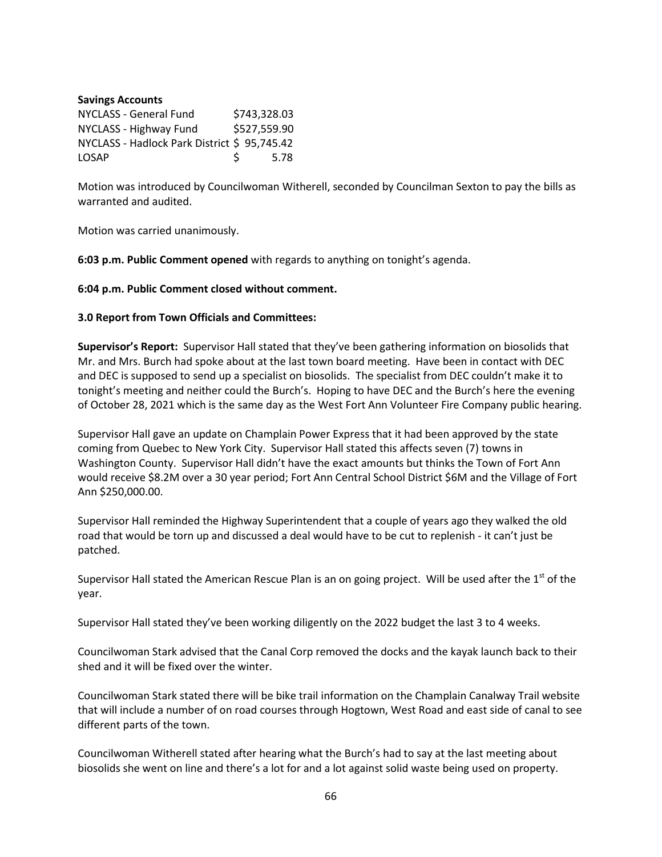#### **Savings Accounts**

| NYCLASS - General Fund                       |   | \$743,328.03 |  |
|----------------------------------------------|---|--------------|--|
| NYCLASS - Highway Fund                       |   | \$527,559.90 |  |
| NYCLASS - Hadlock Park District \$ 95,745.42 |   |              |  |
| <b>LOSAP</b>                                 | S | 5.78         |  |

Motion was introduced by Councilwoman Witherell, seconded by Councilman Sexton to pay the bills as warranted and audited.

Motion was carried unanimously.

**6:03 p.m. Public Comment opened** with regards to anything on tonight's agenda.

## **6:04 p.m. Public Comment closed without comment.**

## **3.0 Report from Town Officials and Committees:**

**Supervisor's Report:** Supervisor Hall stated that they've been gathering information on biosolids that Mr. and Mrs. Burch had spoke about at the last town board meeting. Have been in contact with DEC and DEC is supposed to send up a specialist on biosolids. The specialist from DEC couldn't make it to tonight's meeting and neither could the Burch's. Hoping to have DEC and the Burch's here the evening of October 28, 2021 which is the same day as the West Fort Ann Volunteer Fire Company public hearing.

Supervisor Hall gave an update on Champlain Power Express that it had been approved by the state coming from Quebec to New York City. Supervisor Hall stated this affects seven (7) towns in Washington County. Supervisor Hall didn't have the exact amounts but thinks the Town of Fort Ann would receive \$8.2M over a 30 year period; Fort Ann Central School District \$6M and the Village of Fort Ann \$250,000.00.

Supervisor Hall reminded the Highway Superintendent that a couple of years ago they walked the old road that would be torn up and discussed a deal would have to be cut to replenish - it can't just be patched.

Supervisor Hall stated the American Rescue Plan is an on going project. Will be used after the 1<sup>st</sup> of the year.

Supervisor Hall stated they've been working diligently on the 2022 budget the last 3 to 4 weeks.

Councilwoman Stark advised that the Canal Corp removed the docks and the kayak launch back to their shed and it will be fixed over the winter.

Councilwoman Stark stated there will be bike trail information on the Champlain Canalway Trail website that will include a number of on road courses through Hogtown, West Road and east side of canal to see different parts of the town.

Councilwoman Witherell stated after hearing what the Burch's had to say at the last meeting about biosolids she went on line and there's a lot for and a lot against solid waste being used on property.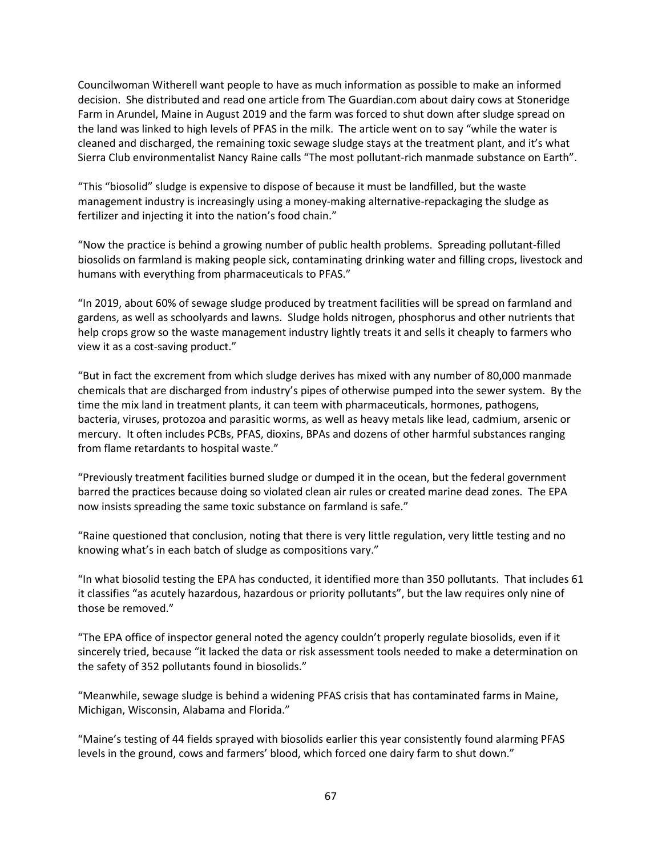Councilwoman Witherell want people to have as much information as possible to make an informed decision. She distributed and read one article from The Guardian.com about dairy cows at Stoneridge Farm in Arundel, Maine in August 2019 and the farm was forced to shut down after sludge spread on the land was linked to high levels of PFAS in the milk. The article went on to say "while the water is cleaned and discharged, the remaining toxic sewage sludge stays at the treatment plant, and it's what Sierra Club environmentalist Nancy Raine calls "The most pollutant-rich manmade substance on Earth".

"This "biosolid" sludge is expensive to dispose of because it must be landfilled, but the waste management industry is increasingly using a money-making alternative-repackaging the sludge as fertilizer and injecting it into the nation's food chain."

"Now the practice is behind a growing number of public health problems. Spreading pollutant-filled biosolids on farmland is making people sick, contaminating drinking water and filling crops, livestock and humans with everything from pharmaceuticals to PFAS."

"In 2019, about 60% of sewage sludge produced by treatment facilities will be spread on farmland and gardens, as well as schoolyards and lawns. Sludge holds nitrogen, phosphorus and other nutrients that help crops grow so the waste management industry lightly treats it and sells it cheaply to farmers who view it as a cost-saving product."

"But in fact the excrement from which sludge derives has mixed with any number of 80,000 manmade chemicals that are discharged from industry's pipes of otherwise pumped into the sewer system. By the time the mix land in treatment plants, it can teem with pharmaceuticals, hormones, pathogens, bacteria, viruses, protozoa and parasitic worms, as well as heavy metals like lead, cadmium, arsenic or mercury. It often includes PCBs, PFAS, dioxins, BPAs and dozens of other harmful substances ranging from flame retardants to hospital waste."

"Previously treatment facilities burned sludge or dumped it in the ocean, but the federal government barred the practices because doing so violated clean air rules or created marine dead zones. The EPA now insists spreading the same toxic substance on farmland is safe."

"Raine questioned that conclusion, noting that there is very little regulation, very little testing and no knowing what's in each batch of sludge as compositions vary."

"In what biosolid testing the EPA has conducted, it identified more than 350 pollutants. That includes 61 it classifies "as acutely hazardous, hazardous or priority pollutants", but the law requires only nine of those be removed."

"The EPA office of inspector general noted the agency couldn't properly regulate biosolids, even if it sincerely tried, because "it lacked the data or risk assessment tools needed to make a determination on the safety of 352 pollutants found in biosolids."

"Meanwhile, sewage sludge is behind a widening PFAS crisis that has contaminated farms in Maine, Michigan, Wisconsin, Alabama and Florida."

"Maine's testing of 44 fields sprayed with biosolids earlier this year consistently found alarming PFAS levels in the ground, cows and farmers' blood, which forced one dairy farm to shut down."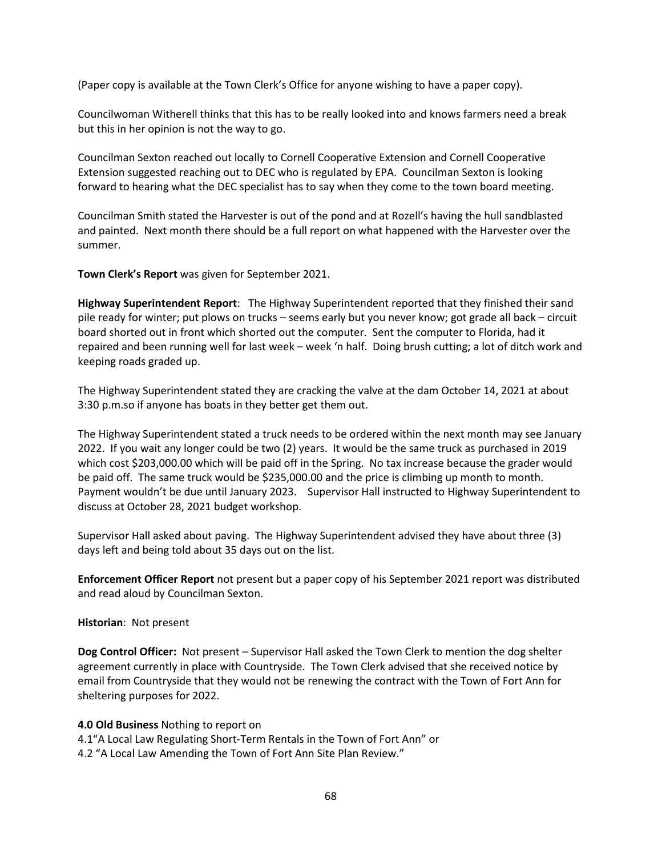(Paper copy is available at the Town Clerk's Office for anyone wishing to have a paper copy).

Councilwoman Witherell thinks that this has to be really looked into and knows farmers need a break but this in her opinion is not the way to go.

Councilman Sexton reached out locally to Cornell Cooperative Extension and Cornell Cooperative Extension suggested reaching out to DEC who is regulated by EPA. Councilman Sexton is looking forward to hearing what the DEC specialist has to say when they come to the town board meeting.

Councilman Smith stated the Harvester is out of the pond and at Rozell's having the hull sandblasted and painted. Next month there should be a full report on what happened with the Harvester over the summer.

**Town Clerk's Report** was given for September 2021.

**Highway Superintendent Report**: The Highway Superintendent reported that they finished their sand pile ready for winter; put plows on trucks – seems early but you never know; got grade all back – circuit board shorted out in front which shorted out the computer. Sent the computer to Florida, had it repaired and been running well for last week – week 'n half. Doing brush cutting; a lot of ditch work and keeping roads graded up.

The Highway Superintendent stated they are cracking the valve at the dam October 14, 2021 at about 3:30 p.m.so if anyone has boats in they better get them out.

The Highway Superintendent stated a truck needs to be ordered within the next month may see January 2022. If you wait any longer could be two (2) years. It would be the same truck as purchased in 2019 which cost \$203,000.00 which will be paid off in the Spring. No tax increase because the grader would be paid off. The same truck would be \$235,000.00 and the price is climbing up month to month. Payment wouldn't be due until January 2023. Supervisor Hall instructed to Highway Superintendent to discuss at October 28, 2021 budget workshop.

Supervisor Hall asked about paving. The Highway Superintendent advised they have about three (3) days left and being told about 35 days out on the list.

**Enforcement Officer Report** not present but a paper copy of his September 2021 report was distributed and read aloud by Councilman Sexton.

**Historian**: Not present

**Dog Control Officer:** Not present – Supervisor Hall asked the Town Clerk to mention the dog shelter agreement currently in place with Countryside. The Town Clerk advised that she received notice by email from Countryside that they would not be renewing the contract with the Town of Fort Ann for sheltering purposes for 2022.

#### **4.0 Old Business** Nothing to report on

4.1"A Local Law Regulating Short-Term Rentals in the Town of Fort Ann" or

4.2 "A Local Law Amending the Town of Fort Ann Site Plan Review."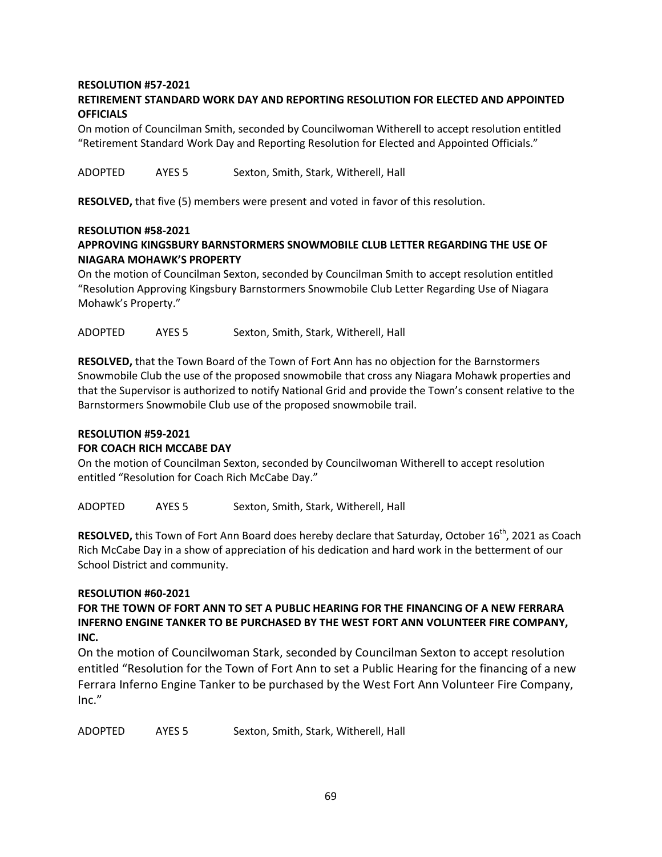## **RESOLUTION #57-2021 RETIREMENT STANDARD WORK DAY AND REPORTING RESOLUTION FOR ELECTED AND APPOINTED OFFICIALS**

On motion of Councilman Smith, seconded by Councilwoman Witherell to accept resolution entitled "Retirement Standard Work Day and Reporting Resolution for Elected and Appointed Officials."

ADOPTED AYES 5 Sexton, Smith, Stark, Witherell, Hall

**RESOLVED,** that five (5) members were present and voted in favor of this resolution.

## **RESOLUTION #58-2021 APPROVING KINGSBURY BARNSTORMERS SNOWMOBILE CLUB LETTER REGARDING THE USE OF NIAGARA MOHAWK'S PROPERTY**

On the motion of Councilman Sexton, seconded by Councilman Smith to accept resolution entitled "Resolution Approving Kingsbury Barnstormers Snowmobile Club Letter Regarding Use of Niagara Mohawk's Property."

ADOPTED AYES 5 Sexton, Smith, Stark, Witherell, Hall

**RESOLVED,** that the Town Board of the Town of Fort Ann has no objection for the Barnstormers Snowmobile Club the use of the proposed snowmobile that cross any Niagara Mohawk properties and that the Supervisor is authorized to notify National Grid and provide the Town's consent relative to the Barnstormers Snowmobile Club use of the proposed snowmobile trail.

# **RESOLUTION #59-2021**

## **FOR COACH RICH MCCABE DAY**

On the motion of Councilman Sexton, seconded by Councilwoman Witherell to accept resolution entitled "Resolution for Coach Rich McCabe Day."

ADOPTED AYES 5 Sexton, Smith, Stark, Witherell, Hall

**RESOLVED,** this Town of Fort Ann Board does hereby declare that Saturday, October 16<sup>th</sup>, 2021 as Coach Rich McCabe Day in a show of appreciation of his dedication and hard work in the betterment of our School District and community.

## **RESOLUTION #60-2021**

**FOR THE TOWN OF FORT ANN TO SET A PUBLIC HEARING FOR THE FINANCING OF A NEW FERRARA INFERNO ENGINE TANKER TO BE PURCHASED BY THE WEST FORT ANN VOLUNTEER FIRE COMPANY, INC.**

On the motion of Councilwoman Stark, seconded by Councilman Sexton to accept resolution entitled "Resolution for the Town of Fort Ann to set a Public Hearing for the financing of a new Ferrara Inferno Engine Tanker to be purchased by the West Fort Ann Volunteer Fire Company, Inc."

ADOPTED AYES 5 Sexton, Smith, Stark, Witherell, Hall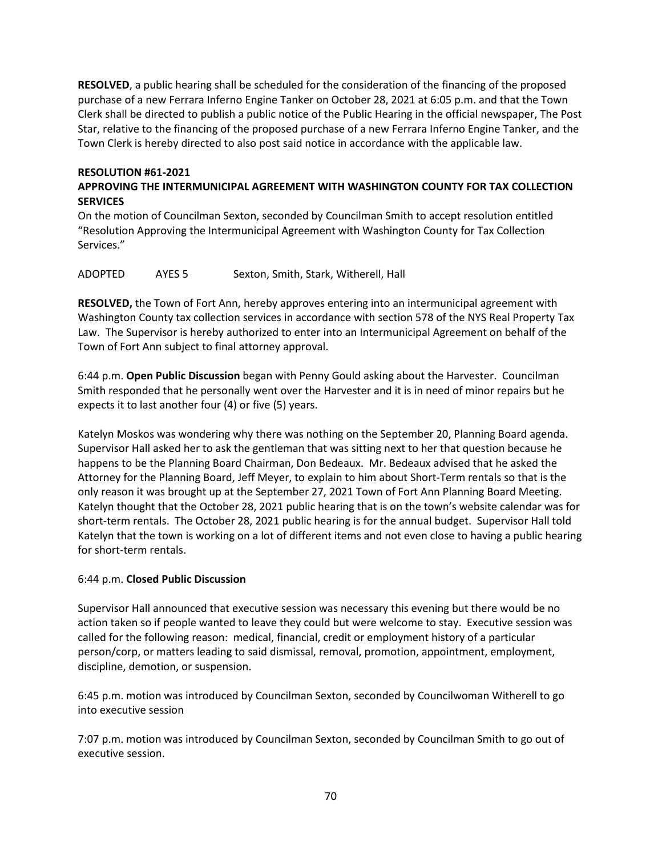**RESOLVED**, a public hearing shall be scheduled for the consideration of the financing of the proposed purchase of a new Ferrara Inferno Engine Tanker on October 28, 2021 at 6:05 p.m. and that the Town Clerk shall be directed to publish a public notice of the Public Hearing in the official newspaper, The Post Star, relative to the financing of the proposed purchase of a new Ferrara Inferno Engine Tanker, and the Town Clerk is hereby directed to also post said notice in accordance with the applicable law.

# **RESOLUTION #61-2021**

# **APPROVING THE INTERMUNICIPAL AGREEMENT WITH WASHINGTON COUNTY FOR TAX COLLECTION SERVICES**

On the motion of Councilman Sexton, seconded by Councilman Smith to accept resolution entitled "Resolution Approving the Intermunicipal Agreement with Washington County for Tax Collection Services."

ADOPTED AYES 5 Sexton, Smith, Stark, Witherell, Hall

**RESOLVED,** the Town of Fort Ann, hereby approves entering into an intermunicipal agreement with Washington County tax collection services in accordance with section 578 of the NYS Real Property Tax Law. The Supervisor is hereby authorized to enter into an Intermunicipal Agreement on behalf of the Town of Fort Ann subject to final attorney approval.

6:44 p.m. **Open Public Discussion** began with Penny Gould asking about the Harvester. Councilman Smith responded that he personally went over the Harvester and it is in need of minor repairs but he expects it to last another four (4) or five (5) years.

Katelyn Moskos was wondering why there was nothing on the September 20, Planning Board agenda. Supervisor Hall asked her to ask the gentleman that was sitting next to her that question because he happens to be the Planning Board Chairman, Don Bedeaux. Mr. Bedeaux advised that he asked the Attorney for the Planning Board, Jeff Meyer, to explain to him about Short-Term rentals so that is the only reason it was brought up at the September 27, 2021 Town of Fort Ann Planning Board Meeting. Katelyn thought that the October 28, 2021 public hearing that is on the town's website calendar was for short-term rentals. The October 28, 2021 public hearing is for the annual budget. Supervisor Hall told Katelyn that the town is working on a lot of different items and not even close to having a public hearing for short-term rentals.

## 6:44 p.m. **Closed Public Discussion**

Supervisor Hall announced that executive session was necessary this evening but there would be no action taken so if people wanted to leave they could but were welcome to stay. Executive session was called for the following reason: medical, financial, credit or employment history of a particular person/corp, or matters leading to said dismissal, removal, promotion, appointment, employment, discipline, demotion, or suspension.

6:45 p.m. motion was introduced by Councilman Sexton, seconded by Councilwoman Witherell to go into executive session

7:07 p.m. motion was introduced by Councilman Sexton, seconded by Councilman Smith to go out of executive session.